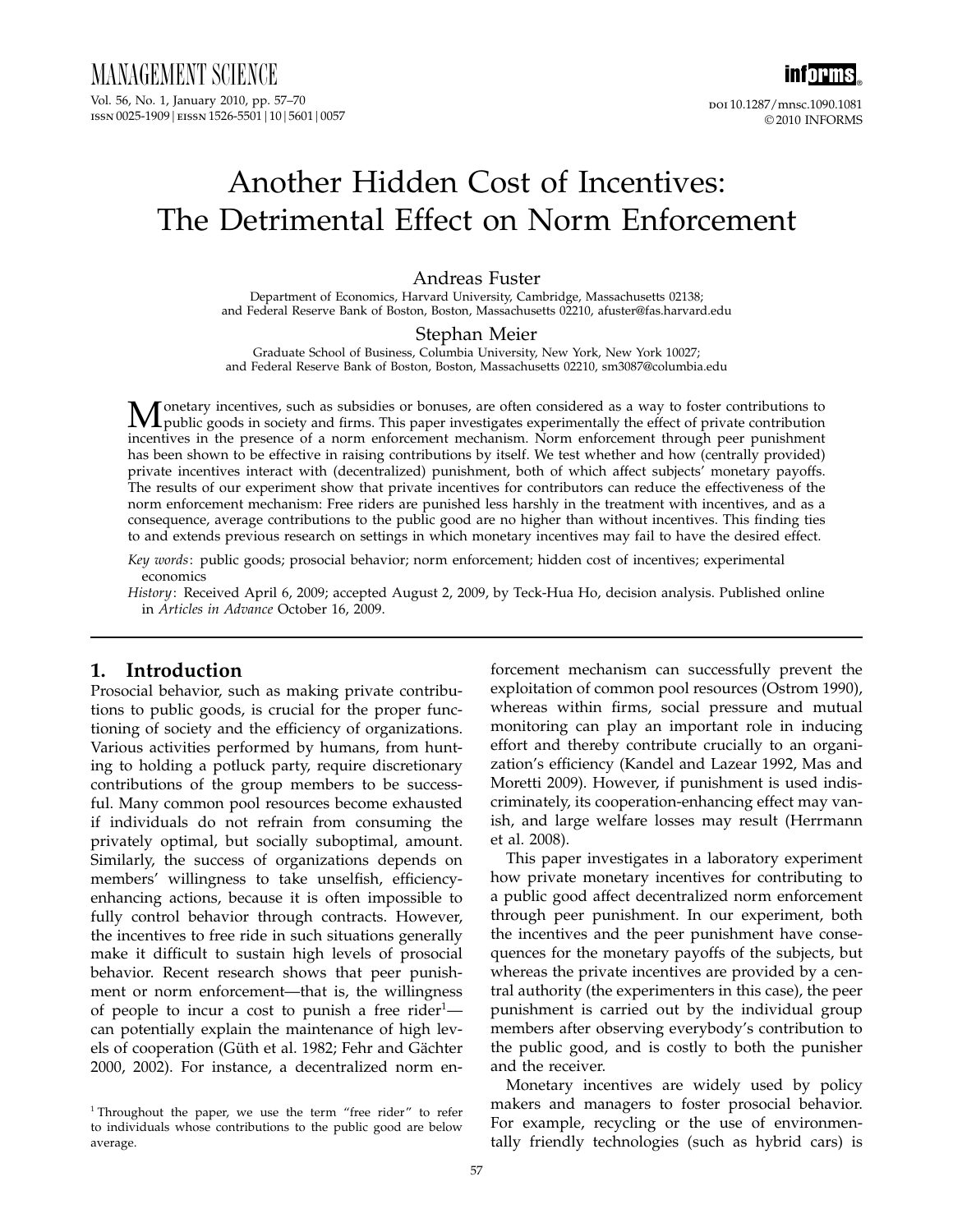

# Another Hidden Cost of Incentives: The Detrimental Effect on Norm Enforcement

## Andreas Fuster

Department of Economics, Harvard University, Cambridge, Massachusetts 02138; and Federal Reserve Bank of Boston, Boston, Massachusetts 02210, afuster@fas.harvard.edu

#### Stephan Meier

Graduate School of Business, Columbia University, New York, New York 10027; and Federal Reserve Bank of Boston, Boston, Massachusetts 02210, sm3087@columbia.edu

 $M$  onetary incentives, such as subsidies or bonuses, are often considered as a way to foster contributions to public goods in society and firms. This paper investigates experimentally the effect of private contribution i incentives in the presence of a norm enforcement mechanism. Norm enforcement through peer punishment has been shown to be effective in raising contributions by itself. We test whether and how (centrally provided) private incentives interact with (decentralized) punishment, both of which affect subjects' monetary payoffs. The results of our experiment show that private incentives for contributors can reduce the effectiveness of the norm enforcement mechanism: Free riders are punished less harshly in the treatment with incentives, and as a consequence, average contributions to the public good are no higher than without incentives. This finding ties to and extends previous research on settings in which monetary incentives may fail to have the desired effect.

Key words: public goods; prosocial behavior; norm enforcement; hidden cost of incentives; experimental economics

History: Received April 6, 2009; accepted August 2, 2009, by Teck-Hua Ho, decision analysis. Published online in Articles in Advance October 16, 2009.

## 1. Introduction

Prosocial behavior, such as making private contributions to public goods, is crucial for the proper functioning of society and the efficiency of organizations. Various activities performed by humans, from hunting to holding a potluck party, require discretionary contributions of the group members to be successful. Many common pool resources become exhausted if individuals do not refrain from consuming the privately optimal, but socially suboptimal, amount. Similarly, the success of organizations depends on members' willingness to take unselfish, efficiencyenhancing actions, because it is often impossible to fully control behavior through contracts. However, the incentives to free ride in such situations generally make it difficult to sustain high levels of prosocial behavior. Recent research shows that peer punishment or norm enforcement—that is, the willingness of people to incur a cost to punish a free rider<sup>1</sup> can potentially explain the maintenance of high levels of cooperation (Güth et al. 1982; Fehr and Gächter 2000, 2002). For instance, a decentralized norm enforcement mechanism can successfully prevent the exploitation of common pool resources (Ostrom 1990), whereas within firms, social pressure and mutual monitoring can play an important role in inducing effort and thereby contribute crucially to an organization's efficiency (Kandel and Lazear 1992, Mas and Moretti 2009). However, if punishment is used indiscriminately, its cooperation-enhancing effect may vanish, and large welfare losses may result (Herrmann et al. 2008).

This paper investigates in a laboratory experiment how private monetary incentives for contributing to a public good affect decentralized norm enforcement through peer punishment. In our experiment, both the incentives and the peer punishment have consequences for the monetary payoffs of the subjects, but whereas the private incentives are provided by a central authority (the experimenters in this case), the peer punishment is carried out by the individual group members after observing everybody's contribution to the public good, and is costly to both the punisher and the receiver.

Monetary incentives are widely used by policy makers and managers to foster prosocial behavior. For example, recycling or the use of environmentally friendly technologies (such as hybrid cars) is

<sup>&</sup>lt;sup>1</sup> Throughout the paper, we use the term "free rider" to refer to individuals whose contributions to the public good are below average.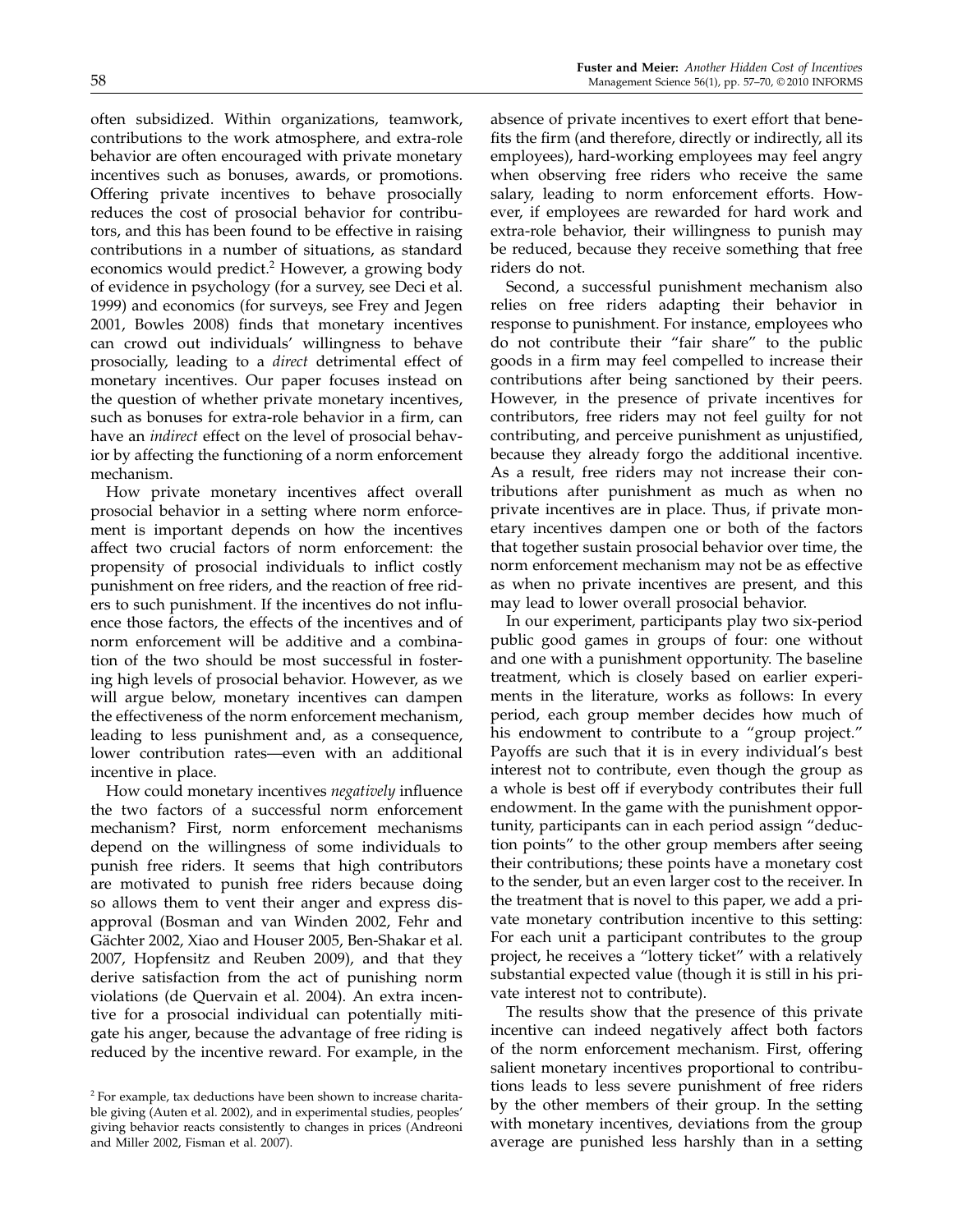often subsidized. Within organizations, teamwork, contributions to the work atmosphere, and extra-role behavior are often encouraged with private monetary incentives such as bonuses, awards, or promotions. Offering private incentives to behave prosocially reduces the cost of prosocial behavior for contributors, and this has been found to be effective in raising contributions in a number of situations, as standard economics would predict.<sup>2</sup> However, a growing body of evidence in psychology (for a survey, see Deci et al. 1999) and economics (for surveys, see Frey and Jegen 2001, Bowles 2008) finds that monetary incentives can crowd out individuals' willingness to behave prosocially, leading to a direct detrimental effect of monetary incentives. Our paper focuses instead on the question of whether private monetary incentives, such as bonuses for extra-role behavior in a firm, can have an indirect effect on the level of prosocial behavior by affecting the functioning of a norm enforcement mechanism.

How private monetary incentives affect overall prosocial behavior in a setting where norm enforcement is important depends on how the incentives affect two crucial factors of norm enforcement: the propensity of prosocial individuals to inflict costly punishment on free riders, and the reaction of free riders to such punishment. If the incentives do not influence those factors, the effects of the incentives and of norm enforcement will be additive and a combination of the two should be most successful in fostering high levels of prosocial behavior. However, as we will argue below, monetary incentives can dampen the effectiveness of the norm enforcement mechanism, leading to less punishment and, as a consequence, lower contribution rates—even with an additional incentive in place.

How could monetary incentives negatively influence the two factors of a successful norm enforcement mechanism? First, norm enforcement mechanisms depend on the willingness of some individuals to punish free riders. It seems that high contributors are motivated to punish free riders because doing so allows them to vent their anger and express disapproval (Bosman and van Winden 2002, Fehr and Gächter 2002, Xiao and Houser 2005, Ben-Shakar et al. 2007, Hopfensitz and Reuben 2009), and that they derive satisfaction from the act of punishing norm violations (de Quervain et al. 2004). An extra incentive for a prosocial individual can potentially mitigate his anger, because the advantage of free riding is reduced by the incentive reward. For example, in the

absence of private incentives to exert effort that benefits the firm (and therefore, directly or indirectly, all its employees), hard-working employees may feel angry when observing free riders who receive the same salary, leading to norm enforcement efforts. However, if employees are rewarded for hard work and extra-role behavior, their willingness to punish may be reduced, because they receive something that free riders do not.

Second, a successful punishment mechanism also relies on free riders adapting their behavior in response to punishment. For instance, employees who do not contribute their "fair share" to the public goods in a firm may feel compelled to increase their contributions after being sanctioned by their peers. However, in the presence of private incentives for contributors, free riders may not feel guilty for not contributing, and perceive punishment as unjustified, because they already forgo the additional incentive. As a result, free riders may not increase their contributions after punishment as much as when no private incentives are in place. Thus, if private monetary incentives dampen one or both of the factors that together sustain prosocial behavior over time, the norm enforcement mechanism may not be as effective as when no private incentives are present, and this may lead to lower overall prosocial behavior.

In our experiment, participants play two six-period public good games in groups of four: one without and one with a punishment opportunity. The baseline treatment, which is closely based on earlier experiments in the literature, works as follows: In every period, each group member decides how much of his endowment to contribute to a "group project." Payoffs are such that it is in every individual's best interest not to contribute, even though the group as a whole is best off if everybody contributes their full endowment. In the game with the punishment opportunity, participants can in each period assign "deduction points" to the other group members after seeing their contributions; these points have a monetary cost to the sender, but an even larger cost to the receiver. In the treatment that is novel to this paper, we add a private monetary contribution incentive to this setting: For each unit a participant contributes to the group project, he receives a "lottery ticket" with a relatively substantial expected value (though it is still in his private interest not to contribute).

The results show that the presence of this private incentive can indeed negatively affect both factors of the norm enforcement mechanism. First, offering salient monetary incentives proportional to contributions leads to less severe punishment of free riders by the other members of their group. In the setting with monetary incentives, deviations from the group average are punished less harshly than in a setting

<sup>2</sup> For example, tax deductions have been shown to increase charitable giving (Auten et al. 2002), and in experimental studies, peoples' giving behavior reacts consistently to changes in prices (Andreoni and Miller 2002, Fisman et al. 2007).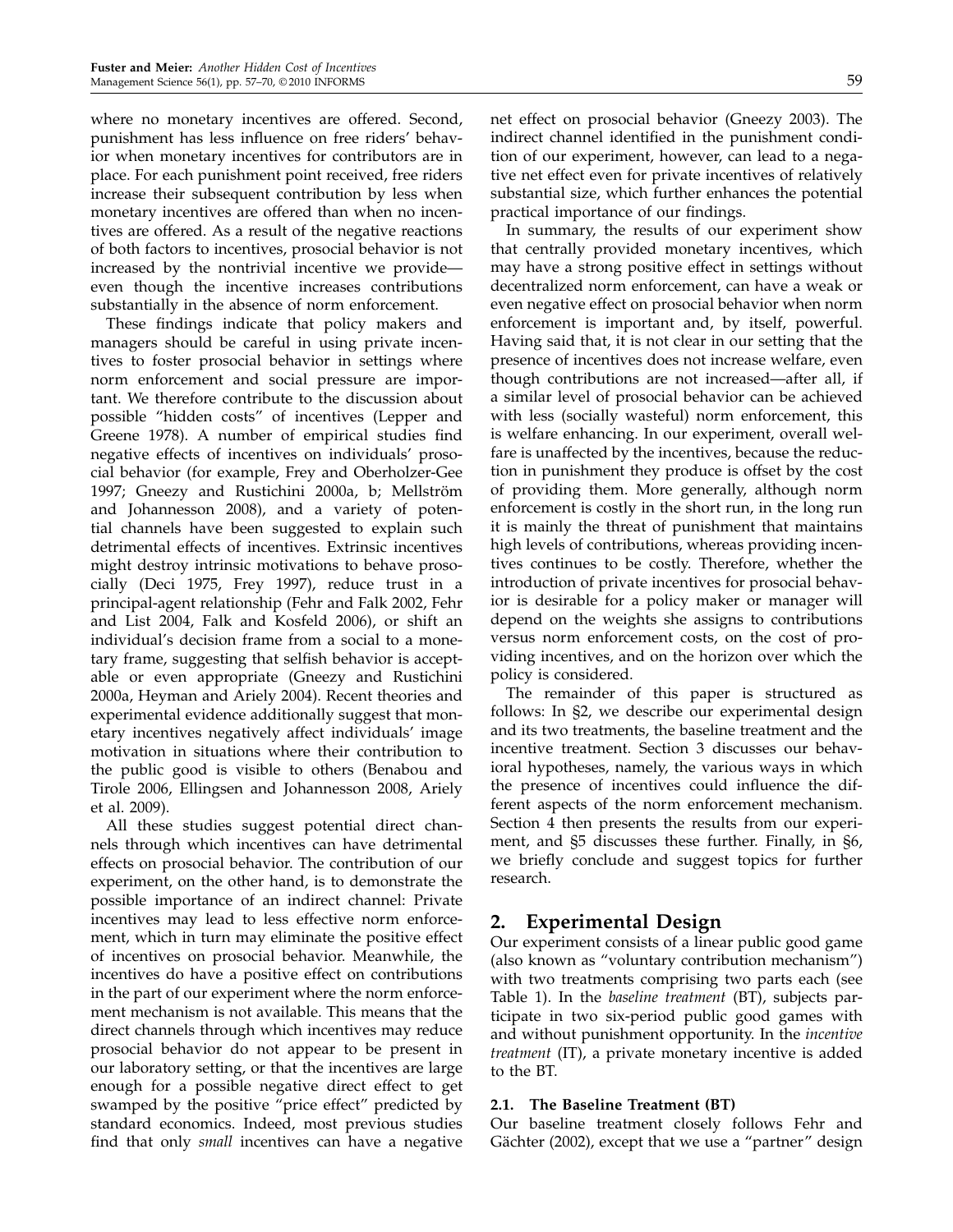where no monetary incentives are offered. Second, punishment has less influence on free riders' behavior when monetary incentives for contributors are in place. For each punishment point received, free riders increase their subsequent contribution by less when monetary incentives are offered than when no incentives are offered. As a result of the negative reactions of both factors to incentives, prosocial behavior is not increased by the nontrivial incentive we provide even though the incentive increases contributions substantially in the absence of norm enforcement.

These findings indicate that policy makers and managers should be careful in using private incentives to foster prosocial behavior in settings where norm enforcement and social pressure are important. We therefore contribute to the discussion about possible "hidden costs" of incentives (Lepper and Greene 1978). A number of empirical studies find negative effects of incentives on individuals' prosocial behavior (for example, Frey and Oberholzer-Gee 1997; Gneezy and Rustichini 2000a, b; Mellström and Johannesson 2008), and a variety of potential channels have been suggested to explain such detrimental effects of incentives. Extrinsic incentives might destroy intrinsic motivations to behave prosocially (Deci 1975, Frey 1997), reduce trust in a principal-agent relationship (Fehr and Falk 2002, Fehr and List 2004, Falk and Kosfeld 2006), or shift an individual's decision frame from a social to a monetary frame, suggesting that selfish behavior is acceptable or even appropriate (Gneezy and Rustichini 2000a, Heyman and Ariely 2004). Recent theories and experimental evidence additionally suggest that monetary incentives negatively affect individuals' image motivation in situations where their contribution to the public good is visible to others (Benabou and Tirole 2006, Ellingsen and Johannesson 2008, Ariely et al. 2009).

All these studies suggest potential direct channels through which incentives can have detrimental effects on prosocial behavior. The contribution of our experiment, on the other hand, is to demonstrate the possible importance of an indirect channel: Private incentives may lead to less effective norm enforcement, which in turn may eliminate the positive effect of incentives on prosocial behavior. Meanwhile, the incentives do have a positive effect on contributions in the part of our experiment where the norm enforcement mechanism is not available. This means that the direct channels through which incentives may reduce prosocial behavior do not appear to be present in our laboratory setting, or that the incentives are large enough for a possible negative direct effect to get swamped by the positive "price effect" predicted by standard economics. Indeed, most previous studies find that only small incentives can have a negative

net effect on prosocial behavior (Gneezy 2003). The indirect channel identified in the punishment condition of our experiment, however, can lead to a negative net effect even for private incentives of relatively substantial size, which further enhances the potential practical importance of our findings.

In summary, the results of our experiment show that centrally provided monetary incentives, which may have a strong positive effect in settings without decentralized norm enforcement, can have a weak or even negative effect on prosocial behavior when norm enforcement is important and, by itself, powerful. Having said that, it is not clear in our setting that the presence of incentives does not increase welfare, even though contributions are not increased—after all, if a similar level of prosocial behavior can be achieved with less (socially wasteful) norm enforcement, this is welfare enhancing. In our experiment, overall welfare is unaffected by the incentives, because the reduction in punishment they produce is offset by the cost of providing them. More generally, although norm enforcement is costly in the short run, in the long run it is mainly the threat of punishment that maintains high levels of contributions, whereas providing incentives continues to be costly. Therefore, whether the introduction of private incentives for prosocial behavior is desirable for a policy maker or manager will depend on the weights she assigns to contributions versus norm enforcement costs, on the cost of providing incentives, and on the horizon over which the policy is considered.

The remainder of this paper is structured as follows: In §2, we describe our experimental design and its two treatments, the baseline treatment and the incentive treatment. Section 3 discusses our behavioral hypotheses, namely, the various ways in which the presence of incentives could influence the different aspects of the norm enforcement mechanism. Section 4 then presents the results from our experiment, and §5 discusses these further. Finally, in §6, we briefly conclude and suggest topics for further research.

# 2. Experimental Design

Our experiment consists of a linear public good game (also known as "voluntary contribution mechanism") with two treatments comprising two parts each (see Table 1). In the baseline treatment (BT), subjects participate in two six-period public good games with and without punishment opportunity. In the incentive treatment (IT), a private monetary incentive is added to the BT.

## 2.1. The Baseline Treatment (BT)

Our baseline treatment closely follows Fehr and Gächter (2002), except that we use a "partner" design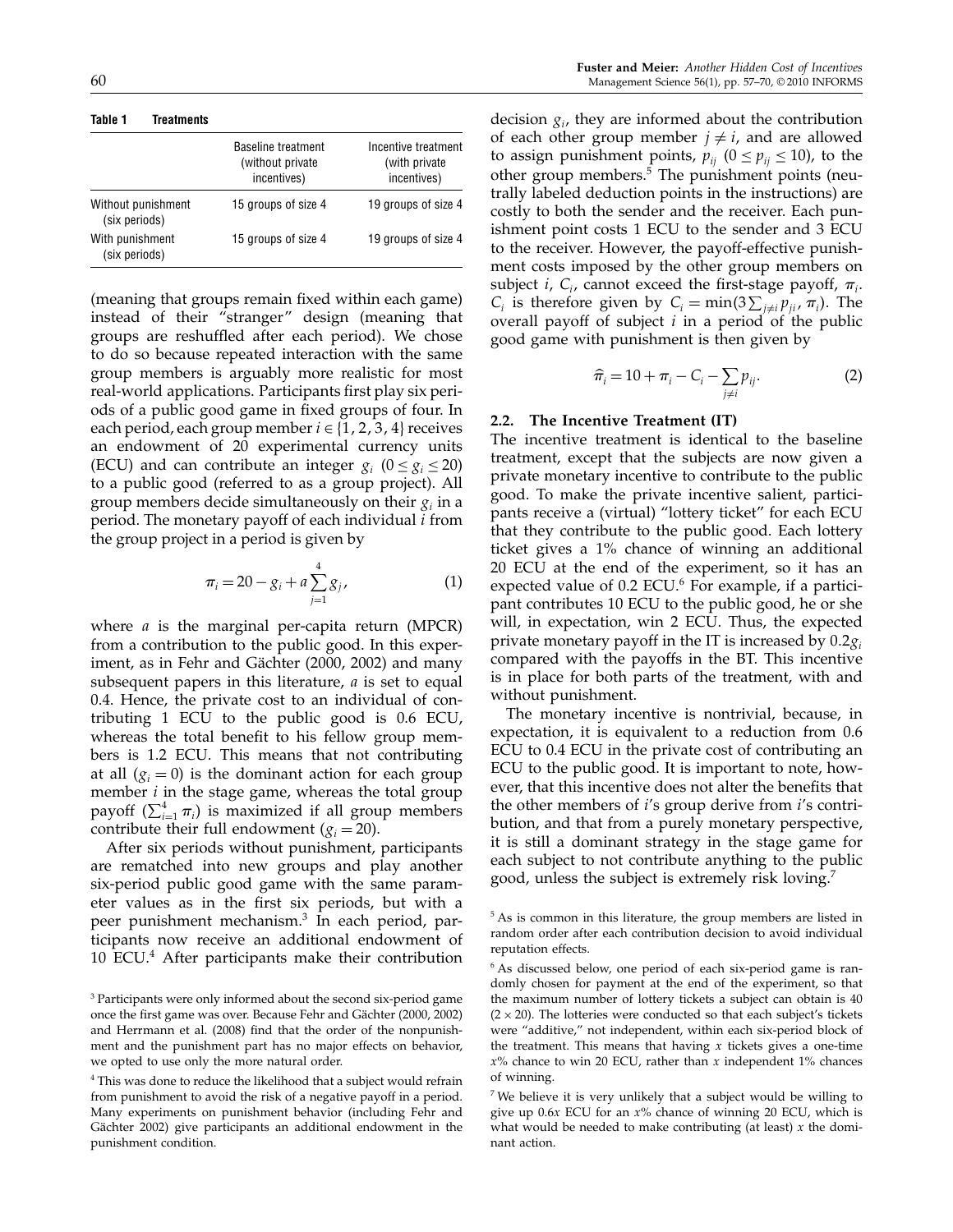Table 1 Treatments

|                                     | Baseline treatment<br>(without private)<br>incentives) | Incentive treatment<br>(with private<br>incentives) |
|-------------------------------------|--------------------------------------------------------|-----------------------------------------------------|
| Without punishment<br>(six periods) | 15 groups of size 4                                    | 19 groups of size 4                                 |
| With punishment<br>(six periods)    | 15 groups of size 4                                    | 19 groups of size 4                                 |

(meaning that groups remain fixed within each game) instead of their "stranger" design (meaning that groups are reshuffled after each period). We chose to do so because repeated interaction with the same group members is arguably more realistic for most real-world applications. Participants first play six periods of a public good game in fixed groups of four. In each period, each group member  $i \in \{1, 2, 3, 4\}$  receives an endowment of 20 experimental currency units (ECU) and can contribute an integer  $g_i$  ( $0 \le g_i \le 20$ ) to a public good (referred to as a group project). All group members decide simultaneously on their  $g_i$  in a period. The monetary payoff of each individual i from the group project in a period is given by

$$
\pi_i = 20 - g_i + a \sum_{j=1}^{4} g_j,
$$
 (1)

where *a* is the marginal per-capita return (MPCR) from a contribution to the public good. In this experiment, as in Fehr and Gächter (2000, 2002) and many subsequent papers in this literature,  $a$  is set to equal 0.4. Hence, the private cost to an individual of contributing 1 ECU to the public good is 0.6 ECU, whereas the total benefit to his fellow group members is 1.2 ECU. This means that not contributing at all  $(g<sub>i</sub> = 0)$  is the dominant action for each group member  $i$  in the stage game, whereas the total group payoff  $(\sum_{i=1}^{4} \pi_i)$  is maximized if all group members contribute their full endowment ( $g_i = 20$ ).

After six periods without punishment, participants are rematched into new groups and play another six-period public good game with the same parameter values as in the first six periods, but with a peer punishment mechanism.<sup>3</sup> In each period, participants now receive an additional endowment of 10 ECU. $4$  After participants make their contribution decision  $g_i$ , they are informed about the contribution of each other group member  $j \neq i$ , and are allowed to assign punishment points,  $p_{ij}$  ( $0 \leq p_{ij} \leq 10$ ), to the other group members.<sup>5</sup> The punishment points (neutrally labeled deduction points in the instructions) are costly to both the sender and the receiver. Each punishment point costs 1 ECU to the sender and 3 ECU to the receiver. However, the payoff-effective punishment costs imposed by the other group members on subject *i*,  $C_i$ , cannot exceed the first-stage payoff,  $\pi_i$ .  $C_i$  is therefore given by  $C_i = \min(3\sum_{j\neq i} p_{ji}, \pi_i)$ . The overall payoff of subject  $i$  in a period of the public good game with punishment is then given by

$$
\hat{\pi}_i = 10 + \pi_i - C_i - \sum_{j \neq i} p_{ij}.
$$
 (2)

#### 2.2. The Incentive Treatment (IT)

The incentive treatment is identical to the baseline treatment, except that the subjects are now given a private monetary incentive to contribute to the public good. To make the private incentive salient, participants receive a (virtual) "lottery ticket" for each ECU that they contribute to the public good. Each lottery ticket gives a 1% chance of winning an additional 20 ECU at the end of the experiment, so it has an expected value of  $0.2$  ECU. $<sup>6</sup>$  For example, if a partici-</sup> pant contributes 10 ECU to the public good, he or she will, in expectation, win 2 ECU. Thus, the expected private monetary payoff in the IT is increased by  $0.2g_i$ compared with the payoffs in the BT. This incentive is in place for both parts of the treatment, with and without punishment.

The monetary incentive is nontrivial, because, in expectation, it is equivalent to a reduction from 0.6 ECU to 0.4 ECU in the private cost of contributing an ECU to the public good. It is important to note, however, that this incentive does not alter the benefits that the other members of i's group derive from i's contribution, and that from a purely monetary perspective, it is still a dominant strategy in the stage game for each subject to not contribute anything to the public good, unless the subject is extremely risk loving.<sup>7</sup>

<sup>3</sup> Participants were only informed about the second six-period game once the first game was over. Because Fehr and Gächter (2000, 2002) and Herrmann et al. (2008) find that the order of the nonpunishment and the punishment part has no major effects on behavior, we opted to use only the more natural order.

<sup>4</sup> This was done to reduce the likelihood that a subject would refrain from punishment to avoid the risk of a negative payoff in a period. Many experiments on punishment behavior (including Fehr and Gächter 2002) give participants an additional endowment in the punishment condition.

<sup>5</sup> As is common in this literature, the group members are listed in random order after each contribution decision to avoid individual reputation effects.

<sup>&</sup>lt;sup>6</sup> As discussed below, one period of each six-period game is randomly chosen for payment at the end of the experiment, so that the maximum number of lottery tickets a subject can obtain is 40  $(2 \times 20)$ . The lotteries were conducted so that each subject's tickets were "additive," not independent, within each six-period block of the treatment. This means that having  $x$  tickets gives a one-time  $x$ % chance to win 20 ECU, rather than  $x$  independent 1% chances of winning.

<sup>7</sup> We believe it is very unlikely that a subject would be willing to give up  $0.6x$  ECU for an  $x\%$  chance of winning 20 ECU, which is what would be needed to make contributing (at least)  $x$  the dominant action.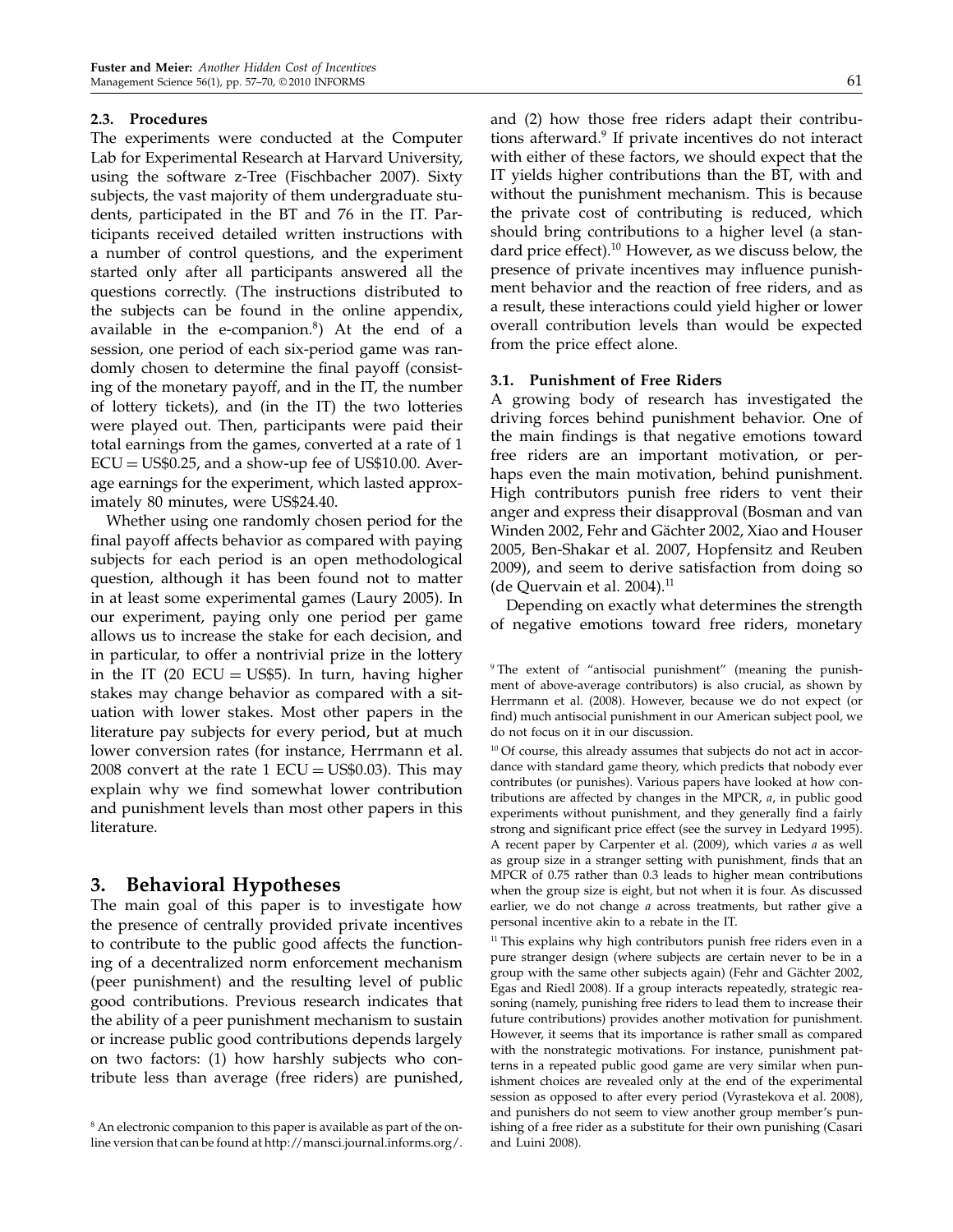#### 2.3. Procedures

The experiments were conducted at the Computer Lab for Experimental Research at Harvard University, using the software z-Tree (Fischbacher 2007). Sixty subjects, the vast majority of them undergraduate students, participated in the BT and 76 in the IT. Participants received detailed written instructions with a number of control questions, and the experiment started only after all participants answered all the questions correctly. (The instructions distributed to the subjects can be found in the online appendix, available in the e-companion. $8$ ) At the end of a session, one period of each six-period game was randomly chosen to determine the final payoff (consisting of the monetary payoff, and in the IT, the number of lottery tickets), and (in the IT) the two lotteries were played out. Then, participants were paid their total earnings from the games, converted at a rate of 1  $ECU = US$0.25$ , and a show-up fee of US\$10.00. Average earnings for the experiment, which lasted approximately 80 minutes, were US\$24.40.

Whether using one randomly chosen period for the final payoff affects behavior as compared with paying subjects for each period is an open methodological question, although it has been found not to matter in at least some experimental games (Laury 2005). In our experiment, paying only one period per game allows us to increase the stake for each decision, and in particular, to offer a nontrivial prize in the lottery in the IT (20  $ECU = US$5$ ). In turn, having higher stakes may change behavior as compared with a situation with lower stakes. Most other papers in the literature pay subjects for every period, but at much lower conversion rates (for instance, Herrmann et al. 2008 convert at the rate 1  $ECU = US$0.03$ ). This may explain why we find somewhat lower contribution and punishment levels than most other papers in this literature.

## 3. Behavioral Hypotheses

The main goal of this paper is to investigate how the presence of centrally provided private incentives to contribute to the public good affects the functioning of a decentralized norm enforcement mechanism (peer punishment) and the resulting level of public good contributions. Previous research indicates that the ability of a peer punishment mechanism to sustain or increase public good contributions depends largely on two factors: (1) how harshly subjects who contribute less than average (free riders) are punished,

and (2) how those free riders adapt their contributions afterward.<sup>9</sup> If private incentives do not interact with either of these factors, we should expect that the IT yields higher contributions than the BT, with and without the punishment mechanism. This is because the private cost of contributing is reduced, which should bring contributions to a higher level (a standard price effect).<sup>10</sup> However, as we discuss below, the presence of private incentives may influence punishment behavior and the reaction of free riders, and as a result, these interactions could yield higher or lower overall contribution levels than would be expected from the price effect alone.

#### 3.1. Punishment of Free Riders

A growing body of research has investigated the driving forces behind punishment behavior. One of the main findings is that negative emotions toward free riders are an important motivation, or perhaps even the main motivation, behind punishment. High contributors punish free riders to vent their anger and express their disapproval (Bosman and van Winden 2002, Fehr and Gächter 2002, Xiao and Houser 2005, Ben-Shakar et al. 2007, Hopfensitz and Reuben 2009), and seem to derive satisfaction from doing so (de Quervain et al.  $2004$ ).<sup>11</sup>

Depending on exactly what determines the strength of negative emotions toward free riders, monetary

<sup>11</sup> This explains why high contributors punish free riders even in a pure stranger design (where subjects are certain never to be in a group with the same other subjects again) (Fehr and Gächter 2002, Egas and Riedl 2008). If a group interacts repeatedly, strategic reasoning (namely, punishing free riders to lead them to increase their future contributions) provides another motivation for punishment. However, it seems that its importance is rather small as compared with the nonstrategic motivations. For instance, punishment patterns in a repeated public good game are very similar when punishment choices are revealed only at the end of the experimental session as opposed to after every period (Vyrastekova et al. 2008), and punishers do not seem to view another group member's punishing of a free rider as a substitute for their own punishing (Casari and Luini 2008).

<sup>&</sup>lt;sup>8</sup> An electronic companion to this paper is available as part of the online version that can be found at http://mansci.journal.informs.org/.

<sup>9</sup> The extent of "antisocial punishment" (meaning the punishment of above-average contributors) is also crucial, as shown by Herrmann et al. (2008). However, because we do not expect (or find) much antisocial punishment in our American subject pool, we do not focus on it in our discussion.

<sup>&</sup>lt;sup>10</sup> Of course, this already assumes that subjects do not act in accordance with standard game theory, which predicts that nobody ever contributes (or punishes). Various papers have looked at how contributions are affected by changes in the MPCR, a, in public good experiments without punishment, and they generally find a fairly strong and significant price effect (see the survey in Ledyard 1995). A recent paper by Carpenter et al. (2009), which varies a as well as group size in a stranger setting with punishment, finds that an MPCR of 0.75 rather than 0.3 leads to higher mean contributions when the group size is eight, but not when it is four. As discussed earlier, we do not change *a* across treatments, but rather give a personal incentive akin to a rebate in the IT.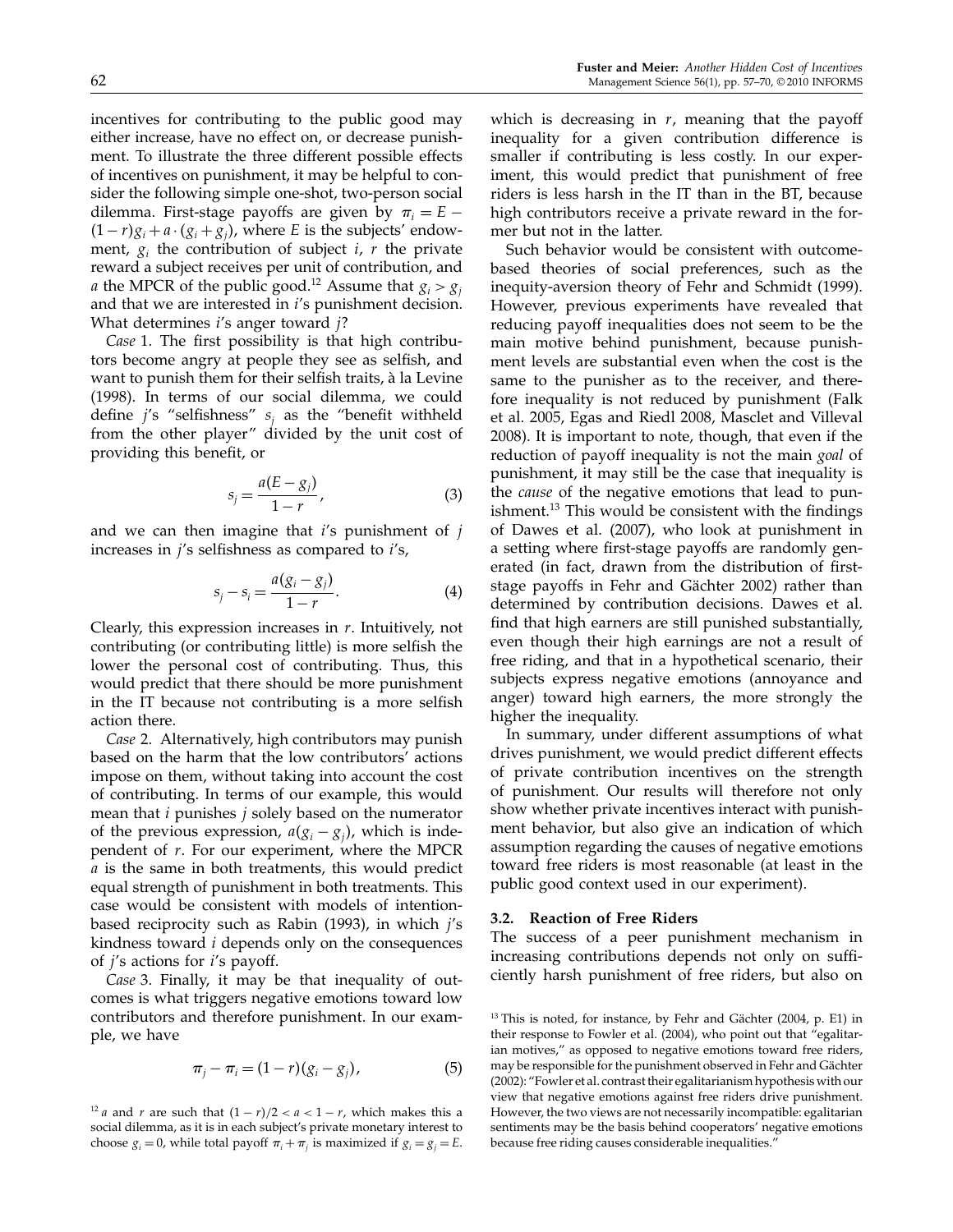incentives for contributing to the public good may either increase, have no effect on, or decrease punishment. To illustrate the three different possible effects of incentives on punishment, it may be helpful to consider the following simple one-shot, two-person social dilemma. First-stage payoffs are given by  $\pi_i = E (1-r)g_i + a \cdot (g_i + g_j)$ , where *E* is the subjects' endowment,  $g_i$  the contribution of subject *i*, *r* the private reward a subject receives per unit of contribution, and *a* the MPCR of the public good.<sup>12</sup> Assume that  $g_i > g_j$ and that we are interested in *i*'s punishment decision. What determines *i's* anger toward *j*?

Case 1. The first possibility is that high contributors become angry at people they see as selfish, and want to punish them for their selfish traits, à la Levine (1998). In terms of our social dilemma, we could define j's "selfishness"  $s_i$  as the "benefit withheld from the other player" divided by the unit cost of providing this benefit, or

$$
s_j = \frac{a(E - g_j)}{1 - r},\tag{3}
$$

and we can then imagine that  $i$ 's punishment of  $j$ increases in  $i$ 's selfishness as compared to  $i$ 's,

$$
s_j - s_i = \frac{a(g_i - g_j)}{1 - r}.
$$
 (4)

Clearly, this expression increases in  $r$ . Intuitively, not contributing (or contributing little) is more selfish the lower the personal cost of contributing. Thus, this would predict that there should be more punishment in the IT because not contributing is a more selfish action there.

Case 2. Alternatively, high contributors may punish based on the harm that the low contributors' actions impose on them, without taking into account the cost of contributing. In terms of our example, this would mean that  $i$  punishes  $j$  solely based on the numerator of the previous expression,  $a(g_i - g_j)$ , which is independent of r. For our experiment, where the MPCR a is the same in both treatments, this would predict equal strength of punishment in both treatments. This case would be consistent with models of intentionbased reciprocity such as Rabin (1993), in which  $j$ 's kindness toward i depends only on the consequences of  $i$ 's actions for  $i$ 's payoff.

Case 3. Finally, it may be that inequality of outcomes is what triggers negative emotions toward low contributors and therefore punishment. In our example, we have

$$
\pi_j - \pi_i = (1 - r)(g_i - g_j), \tag{5}
$$

<sup>12</sup> a and r are such that  $(1 - r)/2 < a < 1 - r$ , which makes this a social dilemma, as it is in each subject's private monetary interest to choose  $g_i = 0$ , while total payoff  $\pi_i + \pi_j$  is maximized if  $g_i = g_j = E$ . which is decreasing in  $r$ , meaning that the payoff inequality for a given contribution difference is smaller if contributing is less costly. In our experiment, this would predict that punishment of free riders is less harsh in the IT than in the BT, because high contributors receive a private reward in the former but not in the latter.

Such behavior would be consistent with outcomebased theories of social preferences, such as the inequity-aversion theory of Fehr and Schmidt (1999). However, previous experiments have revealed that reducing payoff inequalities does not seem to be the main motive behind punishment, because punishment levels are substantial even when the cost is the same to the punisher as to the receiver, and therefore inequality is not reduced by punishment (Falk et al. 2005, Egas and Riedl 2008, Masclet and Villeval 2008). It is important to note, though, that even if the reduction of payoff inequality is not the main goal of punishment, it may still be the case that inequality is the cause of the negative emotions that lead to punishment.<sup>13</sup> This would be consistent with the findings of Dawes et al. (2007), who look at punishment in a setting where first-stage payoffs are randomly generated (in fact, drawn from the distribution of firststage payoffs in Fehr and Gächter 2002) rather than determined by contribution decisions. Dawes et al. find that high earners are still punished substantially, even though their high earnings are not a result of free riding, and that in a hypothetical scenario, their subjects express negative emotions (annoyance and anger) toward high earners, the more strongly the higher the inequality.

In summary, under different assumptions of what drives punishment, we would predict different effects of private contribution incentives on the strength of punishment. Our results will therefore not only show whether private incentives interact with punishment behavior, but also give an indication of which assumption regarding the causes of negative emotions toward free riders is most reasonable (at least in the public good context used in our experiment).

#### 3.2. Reaction of Free Riders

The success of a peer punishment mechanism in increasing contributions depends not only on sufficiently harsh punishment of free riders, but also on

<sup>&</sup>lt;sup>13</sup> This is noted, for instance, by Fehr and Gächter (2004, p. E1) in their response to Fowler et al. (2004), who point out that "egalitarian motives," as opposed to negative emotions toward free riders, may be responsible for the punishment observed in Fehr and Gächter (2002): "Fowler et al. contrast their egalitarianism hypothesis with our view that negative emotions against free riders drive punishment. However, the two views are not necessarily incompatible: egalitarian sentiments may be the basis behind cooperators' negative emotions because free riding causes considerable inequalities."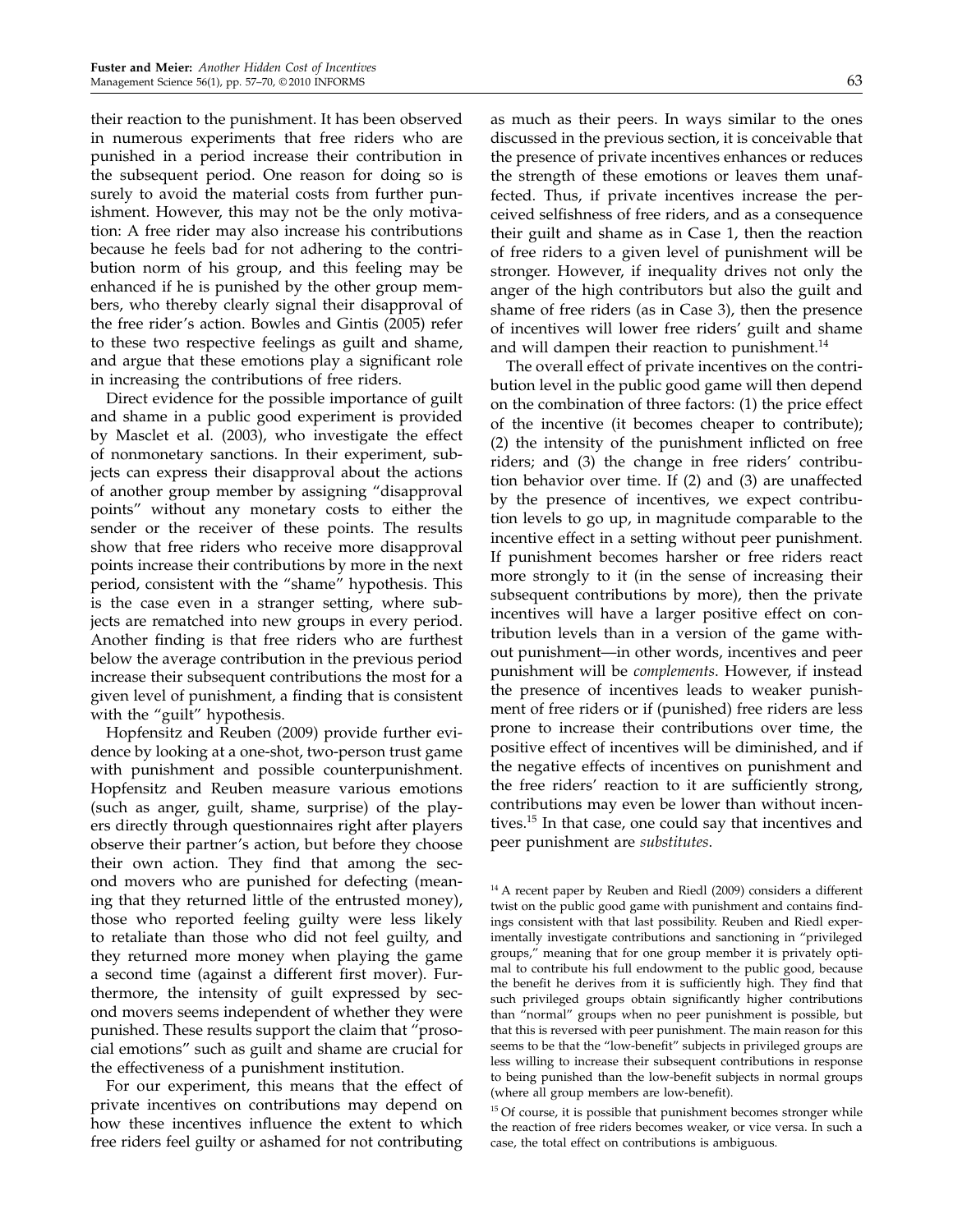their reaction to the punishment. It has been observed in numerous experiments that free riders who are punished in a period increase their contribution in the subsequent period. One reason for doing so is surely to avoid the material costs from further punishment. However, this may not be the only motivation: A free rider may also increase his contributions because he feels bad for not adhering to the contribution norm of his group, and this feeling may be enhanced if he is punished by the other group members, who thereby clearly signal their disapproval of the free rider's action. Bowles and Gintis (2005) refer to these two respective feelings as guilt and shame, and argue that these emotions play a significant role in increasing the contributions of free riders.

Direct evidence for the possible importance of guilt and shame in a public good experiment is provided by Masclet et al. (2003), who investigate the effect of nonmonetary sanctions. In their experiment, subjects can express their disapproval about the actions of another group member by assigning "disapproval points" without any monetary costs to either the sender or the receiver of these points. The results show that free riders who receive more disapproval points increase their contributions by more in the next period, consistent with the "shame" hypothesis. This is the case even in a stranger setting, where subjects are rematched into new groups in every period. Another finding is that free riders who are furthest below the average contribution in the previous period increase their subsequent contributions the most for a given level of punishment, a finding that is consistent with the "guilt" hypothesis.

Hopfensitz and Reuben (2009) provide further evidence by looking at a one-shot, two-person trust game with punishment and possible counterpunishment. Hopfensitz and Reuben measure various emotions (such as anger, guilt, shame, surprise) of the players directly through questionnaires right after players observe their partner's action, but before they choose their own action. They find that among the second movers who are punished for defecting (meaning that they returned little of the entrusted money), those who reported feeling guilty were less likely to retaliate than those who did not feel guilty, and they returned more money when playing the game a second time (against a different first mover). Furthermore, the intensity of guilt expressed by second movers seems independent of whether they were punished. These results support the claim that "prosocial emotions" such as guilt and shame are crucial for the effectiveness of a punishment institution.

For our experiment, this means that the effect of private incentives on contributions may depend on how these incentives influence the extent to which free riders feel guilty or ashamed for not contributing

as much as their peers. In ways similar to the ones discussed in the previous section, it is conceivable that the presence of private incentives enhances or reduces the strength of these emotions or leaves them unaffected. Thus, if private incentives increase the perceived selfishness of free riders, and as a consequence their guilt and shame as in Case 1, then the reaction of free riders to a given level of punishment will be stronger. However, if inequality drives not only the anger of the high contributors but also the guilt and shame of free riders (as in Case 3), then the presence of incentives will lower free riders' guilt and shame and will dampen their reaction to punishment.<sup>14</sup>

The overall effect of private incentives on the contribution level in the public good game will then depend on the combination of three factors: (1) the price effect of the incentive (it becomes cheaper to contribute); (2) the intensity of the punishment inflicted on free riders; and (3) the change in free riders' contribution behavior over time. If (2) and (3) are unaffected by the presence of incentives, we expect contribution levels to go up, in magnitude comparable to the incentive effect in a setting without peer punishment. If punishment becomes harsher or free riders react more strongly to it (in the sense of increasing their subsequent contributions by more), then the private incentives will have a larger positive effect on contribution levels than in a version of the game without punishment—in other words, incentives and peer punishment will be complements. However, if instead the presence of incentives leads to weaker punishment of free riders or if (punished) free riders are less prone to increase their contributions over time, the positive effect of incentives will be diminished, and if the negative effects of incentives on punishment and the free riders' reaction to it are sufficiently strong, contributions may even be lower than without incentives.15 In that case, one could say that incentives and peer punishment are substitutes.

<sup>14</sup> A recent paper by Reuben and Riedl (2009) considers a different twist on the public good game with punishment and contains findings consistent with that last possibility. Reuben and Riedl experimentally investigate contributions and sanctioning in "privileged groups," meaning that for one group member it is privately optimal to contribute his full endowment to the public good, because the benefit he derives from it is sufficiently high. They find that such privileged groups obtain significantly higher contributions than "normal" groups when no peer punishment is possible, but that this is reversed with peer punishment. The main reason for this seems to be that the "low-benefit" subjects in privileged groups are less willing to increase their subsequent contributions in response to being punished than the low-benefit subjects in normal groups (where all group members are low-benefit).

<sup>15</sup> Of course, it is possible that punishment becomes stronger while the reaction of free riders becomes weaker, or vice versa. In such a case, the total effect on contributions is ambiguous.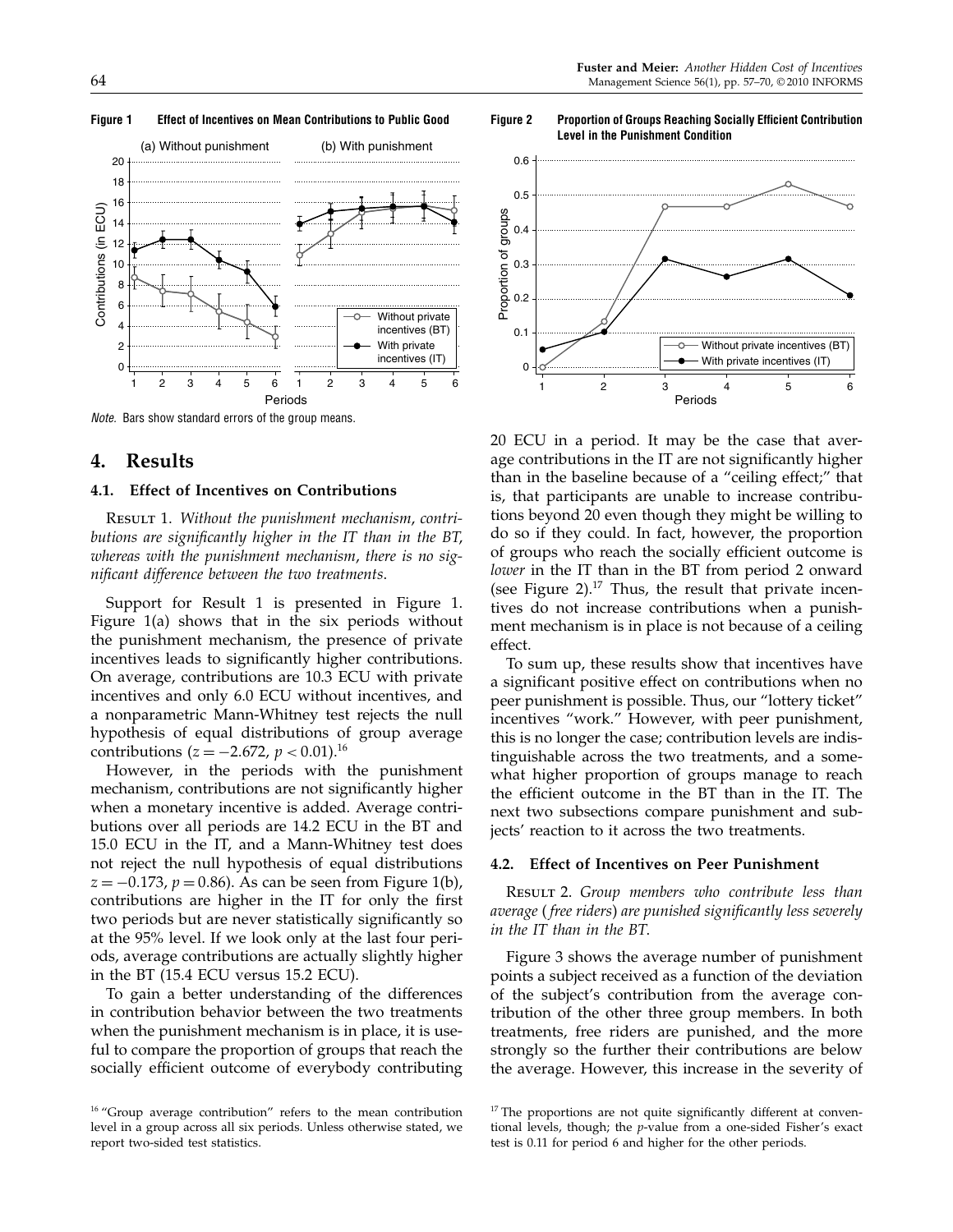Figure 2 Proportion of Groups Reaching Socially Efficient Contribution Level in the Punishment Condition



Note. Bars show standard errors of the group means.

## 4. Results

#### 4.1. Effect of Incentives on Contributions

RESULT 1. Without the punishment mechanism, contributions are significantly higher in the IT than in the BT, whereas with the punishment mechanism, there is no significant difference between the two treatments.

Support for Result 1 is presented in Figure 1. Figure 1(a) shows that in the six periods without the punishment mechanism, the presence of private incentives leads to significantly higher contributions. On average, contributions are 10.3 ECU with private incentives and only 6.0 ECU without incentives, and a nonparametric Mann-Whitney test rejects the null hypothesis of equal distributions of group average contributions ( $z = -2.672$ ,  $p < 0.01$ ).<sup>16</sup>

However, in the periods with the punishment mechanism, contributions are not significantly higher when a monetary incentive is added. Average contributions over all periods are 14.2 ECU in the BT and 15.0 ECU in the IT, and a Mann-Whitney test does not reject the null hypothesis of equal distributions  $z = -0.173$ ,  $p = 0.86$ ). As can be seen from Figure 1(b), contributions are higher in the IT for only the first two periods but are never statistically significantly so at the 95% level. If we look only at the last four periods, average contributions are actually slightly higher in the BT (15.4 ECU versus 15.2 ECU).

To gain a better understanding of the differences in contribution behavior between the two treatments when the punishment mechanism is in place, it is useful to compare the proportion of groups that reach the socially efficient outcome of everybody contributing



20 ECU in a period. It may be the case that average contributions in the IT are not significantly higher than in the baseline because of a "ceiling effect;" that is, that participants are unable to increase contributions beyond 20 even though they might be willing to do so if they could. In fact, however, the proportion of groups who reach the socially efficient outcome is lower in the IT than in the BT from period 2 onward (see Figure 2). $^{17}$  Thus, the result that private incentives do not increase contributions when a punishment mechanism is in place is not because of a ceiling effect.

To sum up, these results show that incentives have a significant positive effect on contributions when no peer punishment is possible. Thus, our "lottery ticket" incentives "work." However, with peer punishment, this is no longer the case; contribution levels are indistinguishable across the two treatments, and a somewhat higher proportion of groups manage to reach the efficient outcome in the BT than in the IT. The next two subsections compare punishment and subjects' reaction to it across the two treatments.

#### 4.2. Effect of Incentives on Peer Punishment

RESULT 2. Group members who contribute less than average ( free riders) are punished significantly less severely in the IT than in the BT.

Figure 3 shows the average number of punishment points a subject received as a function of the deviation of the subject's contribution from the average contribution of the other three group members. In both treatments, free riders are punished, and the more strongly so the further their contributions are below the average. However, this increase in the severity of

<sup>&</sup>lt;sup>16</sup> "Group average contribution" refers to the mean contribution level in a group across all six periods. Unless otherwise stated, we report two-sided test statistics.

<sup>&</sup>lt;sup>17</sup> The proportions are not quite significantly different at conventional levels, though; the p-value from a one-sided Fisher's exact test is 0.11 for period 6 and higher for the other periods.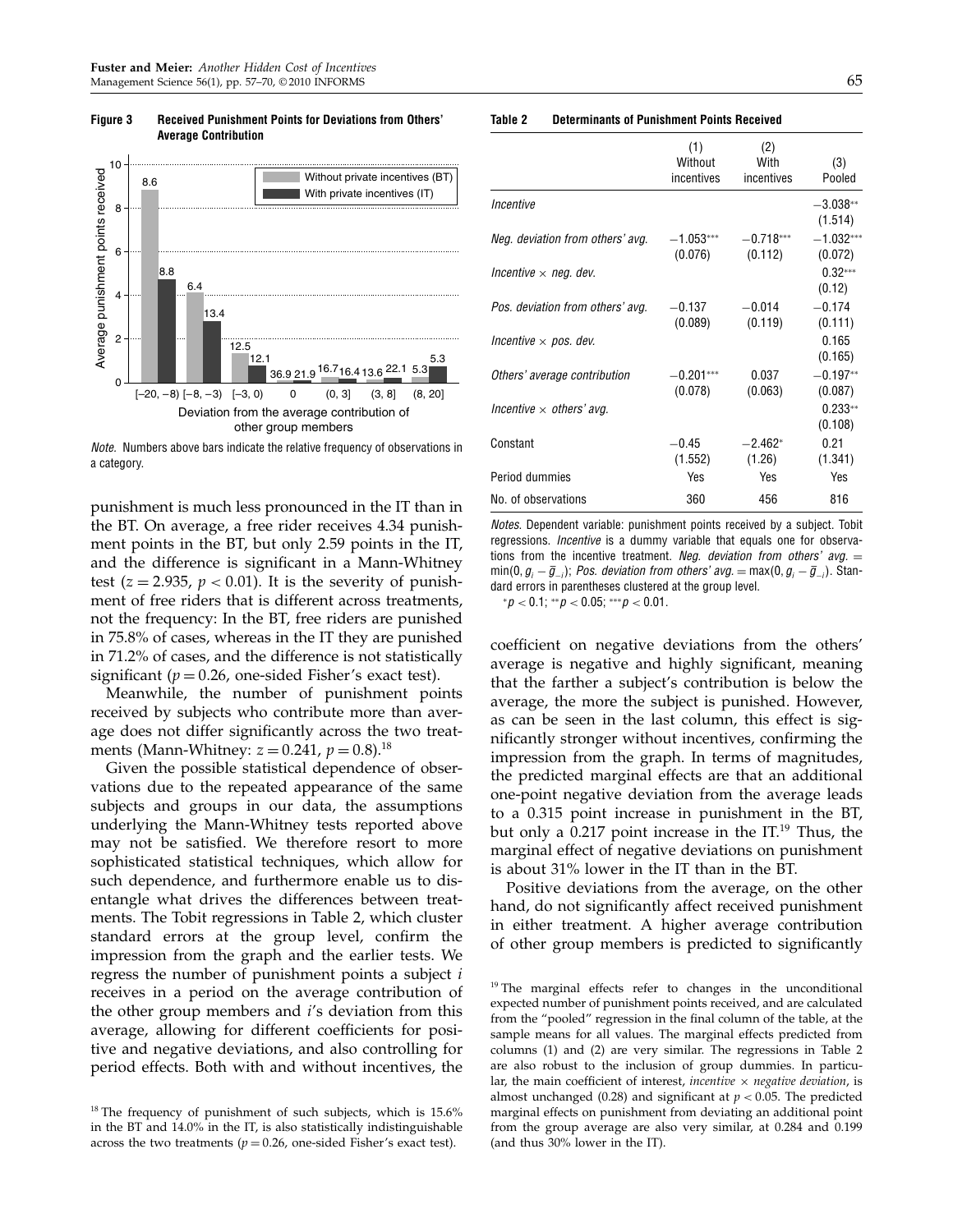

Figure 3 Received Punishment Points for Deviations from Others' Average Contribution

Note. Numbers above bars indicate the relative frequency of observations in a category.

punishment is much less pronounced in the IT than in the BT. On average, a free rider receives 4.34 punishment points in the BT, but only 2.59 points in the IT, and the difference is significant in a Mann-Whitney test ( $z = 2.935$ ,  $p < 0.01$ ). It is the severity of punishment of free riders that is different across treatments, not the frequency: In the BT, free riders are punished in 75.8% of cases, whereas in the IT they are punished in 71.2% of cases, and the difference is not statistically significant ( $p = 0.26$ , one-sided Fisher's exact test).

Meanwhile, the number of punishment points received by subjects who contribute more than average does not differ significantly across the two treatments (Mann-Whitney:  $z = 0.241$ ,  $p = 0.8$ ).<sup>18</sup>

Given the possible statistical dependence of observations due to the repeated appearance of the same subjects and groups in our data, the assumptions underlying the Mann-Whitney tests reported above may not be satisfied. We therefore resort to more sophisticated statistical techniques, which allow for such dependence, and furthermore enable us to disentangle what drives the differences between treatments. The Tobit regressions in Table 2, which cluster standard errors at the group level, confirm the impression from the graph and the earlier tests. We regress the number of punishment points a subject i receives in a period on the average contribution of the other group members and  $i$ 's deviation from this average, allowing for different coefficients for positive and negative deviations, and also controlling for period effects. Both with and without incentives, the

| Table 2 | <b>Determinants of Punishment Points Received</b> |  |  |
|---------|---------------------------------------------------|--|--|
|         |                                                   |  |  |

|                                  | (1)<br>Without<br>incentives | (2)<br>With<br>incentives | (3)<br>Pooled          |
|----------------------------------|------------------------------|---------------------------|------------------------|
| Incentive                        |                              |                           | $-3.038**$<br>(1.514)  |
| Neg. deviation from others' avg. | $-1.053***$<br>(0.076)       | $-0.718***$<br>(0.112)    | $-1.032***$<br>(0.072) |
| Incentive $\times$ neg. dev.     |                              |                           | $0.32***$<br>(0.12)    |
| Pos. deviation from others' avg. | $-0.137$<br>(0.089)          | $-0.014$<br>(0.119)       | $-0.174$<br>(0.111)    |
| Incentive $\times$ pos. dev.     |                              |                           | 0.165<br>(0.165)       |
| Others' average contribution     | $-0.201***$<br>(0.078)       | 0.037<br>(0.063)          | $-0.197**$<br>(0.087)  |
| Incentive $\times$ others' avg.  |                              |                           | $0.233**$<br>(0.108)   |
| Constant                         | $-0.45$<br>(1.552)           | $-2.462*$<br>(1.26)       | 0.21<br>(1.341)        |
| Period dummies                   | Yes                          | Yes                       | Yes                    |
| No. of observations              | 360                          | 456                       | 816                    |

Notes. Dependent variable: punishment points received by a subject. Tobit regressions. Incentive is a dummy variable that equals one for observations from the incentive treatment. Neg. deviation from others'  $avg. =$ min(0,  $g_i - \bar{g}_{-i}$ ); Pos. deviation from others' avg. = max(0,  $g_i - \bar{g}_{-i}$ ). Standard errors in parentheses clustered at the group level.

 ${}^*p < 0.1;$   ${}^{**}p < 0.05;$   ${}^{***}p < 0.01.$ 

coefficient on negative deviations from the others' average is negative and highly significant, meaning that the farther a subject's contribution is below the average, the more the subject is punished. However, as can be seen in the last column, this effect is significantly stronger without incentives, confirming the impression from the graph. In terms of magnitudes, the predicted marginal effects are that an additional one-point negative deviation from the average leads to a 0.315 point increase in punishment in the BT, but only a 0.217 point increase in the  $IT.^{19}$  Thus, the marginal effect of negative deviations on punishment is about 31% lower in the IT than in the BT.

Positive deviations from the average, on the other hand, do not significantly affect received punishment in either treatment. A higher average contribution of other group members is predicted to significantly

<sup>&</sup>lt;sup>18</sup> The frequency of punishment of such subjects, which is 15.6% in the BT and 14.0% in the IT, is also statistically indistinguishable across the two treatments ( $p = 0.26$ , one-sided Fisher's exact test).

<sup>&</sup>lt;sup>19</sup> The marginal effects refer to changes in the unconditional expected number of punishment points received, and are calculated from the "pooled" regression in the final column of the table, at the sample means for all values. The marginal effects predicted from columns (1) and (2) are very similar. The regressions in Table 2 are also robust to the inclusion of group dummies. In particular, the main coefficient of interest, *incentive*  $\times$  *negative deviation*, is almost unchanged (0.28) and significant at  $p < 0.05$ . The predicted marginal effects on punishment from deviating an additional point from the group average are also very similar, at 0.284 and 0.199 (and thus 30% lower in the IT).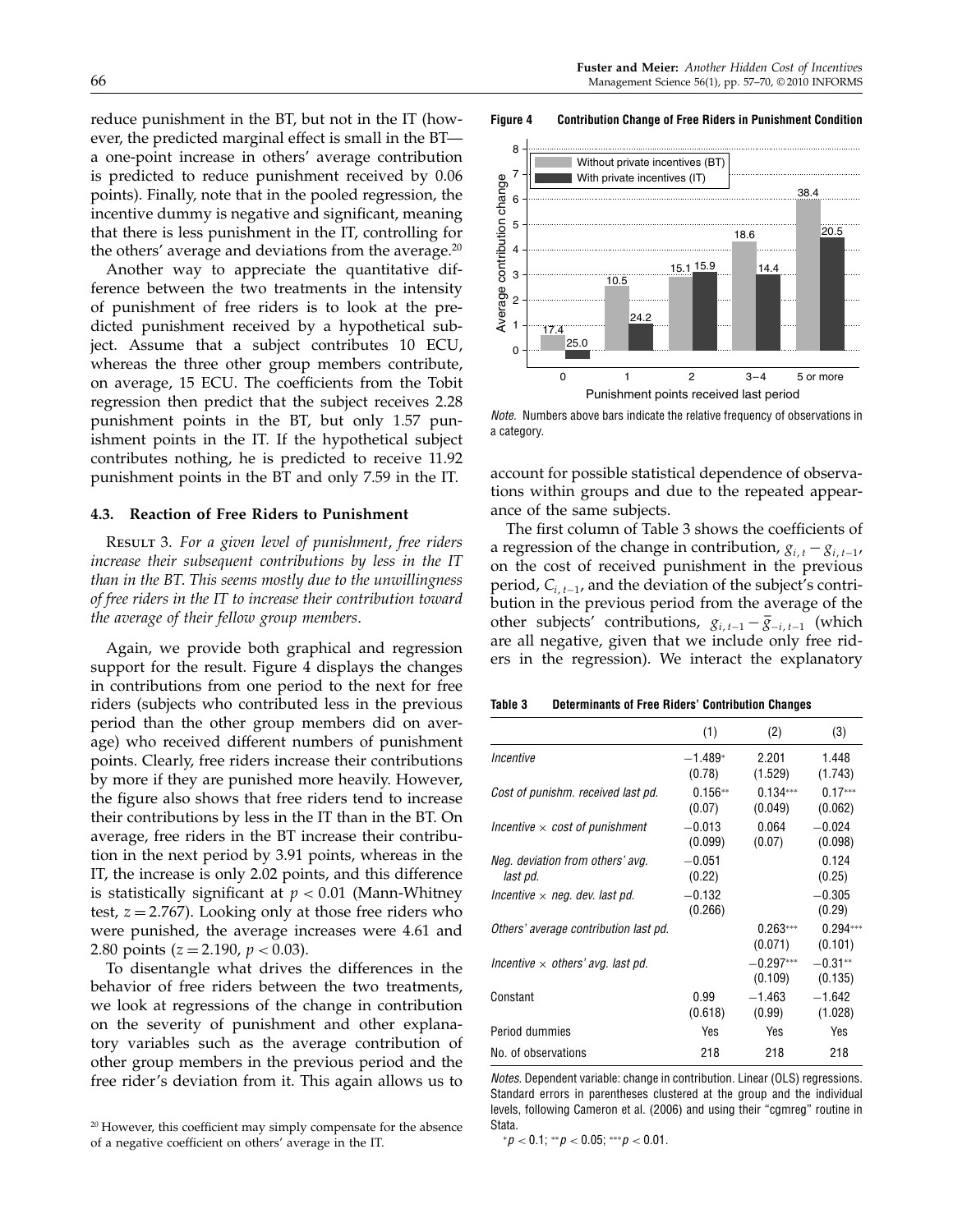reduce punishment in the BT, but not in the IT (however, the predicted marginal effect is small in the BT a one-point increase in others' average contribution is predicted to reduce punishment received by 0.06 points). Finally, note that in the pooled regression, the incentive dummy is negative and significant, meaning that there is less punishment in the IT, controlling for the others' average and deviations from the average. $20$ 

Another way to appreciate the quantitative difference between the two treatments in the intensity of punishment of free riders is to look at the predicted punishment received by a hypothetical subject. Assume that a subject contributes 10 ECU, whereas the three other group members contribute, on average, 15 ECU. The coefficients from the Tobit regression then predict that the subject receives 2.28 punishment points in the BT, but only 1.57 punishment points in the IT. If the hypothetical subject contributes nothing, he is predicted to receive 11.92 punishment points in the BT and only 7.59 in the IT.

#### 4.3. Reaction of Free Riders to Punishment

RESULT 3. For a given level of punishment, free riders increase their subsequent contributions by less in the IT than in the BT. This seems mostly due to the unwillingness of free riders in the IT to increase their contribution toward the average of their fellow group members.

Again, we provide both graphical and regression support for the result. Figure 4 displays the changes in contributions from one period to the next for free riders (subjects who contributed less in the previous period than the other group members did on average) who received different numbers of punishment points. Clearly, free riders increase their contributions by more if they are punished more heavily. However, the figure also shows that free riders tend to increase their contributions by less in the IT than in the BT. On average, free riders in the BT increase their contribution in the next period by 3.91 points, whereas in the IT, the increase is only 2.02 points, and this difference is statistically significant at  $p < 0.01$  (Mann-Whitney test,  $z = 2.767$ ). Looking only at those free riders who were punished, the average increases were 4.61 and 2.80 points ( $z = 2.190$ ,  $p < 0.03$ ).

To disentangle what drives the differences in the behavior of free riders between the two treatments, we look at regressions of the change in contribution on the severity of punishment and other explanatory variables such as the average contribution of other group members in the previous period and the free rider's deviation from it. This again allows us to

Figure 4 Contribution Change of Free Riders in Punishment Condition



Note. Numbers above bars indicate the relative frequency of observations in a category.

account for possible statistical dependence of observations within groups and due to the repeated appearance of the same subjects.

The first column of Table 3 shows the coefficients of a regression of the change in contribution,  $g_{i, t} - g_{i, t-1}$ , on the cost of received punishment in the previous period,  $C_{i,t-1}$ , and the deviation of the subject's contribution in the previous period from the average of the other subjects' contributions,  $g_{i, t-1} - \overline{g}_{-i, t-1}$  (which are all negative, given that we include only free riders in the regression). We interact the explanatory

Table 3 Determinants of Free Riders' Contribution Changes

|                                              | (1)                 | (2)                    | (3)                   |
|----------------------------------------------|---------------------|------------------------|-----------------------|
| Incentive                                    | $-1.489*$<br>(0.78) | 2.201<br>(1.529)       | 1.448<br>(1.743)      |
| Cost of punishm. received last pd.           | $0.156**$<br>(0.07) | $0.134***$<br>(0.049)  | $0.17***$<br>(0.062)  |
| Incentive $\times$ cost of punishment        | $-0.013$<br>(0.099) | 0.064<br>(0.07)        | $-0.024$<br>(0.098)   |
| Neg. deviation from others' avg.<br>last pd. | $-0.051$<br>(0.22)  |                        | 0.124<br>(0.25)       |
| Incentive $\times$ neg. dev. last pd.        | $-0.132$<br>(0.266) |                        | $-0.305$<br>(0.29)    |
| Others' average contribution last pd.        |                     | $0.263***$<br>(0.071)  | $0.294***$<br>(0.101) |
| Incentive $\times$ others' avg. last pd.     |                     | $-0.297***$<br>(0.109) | $-0.31**$<br>(0.135)  |
| Constant                                     | 0.99<br>(0.618)     | $-1.463$<br>(0.99)     | $-1.642$<br>(1.028)   |
| Period dummies                               | Yes                 | Yes                    | Yes                   |
| No. of observations                          | 218                 | 218                    | 218                   |

Notes. Dependent variable: change in contribution. Linear (OLS) regressions. Standard errors in parentheses clustered at the group and the individual levels, following Cameron et al. (2006) and using their "cgmreg" routine in Stata.

 ${}^*p < 0.1;$   ${}^{**}p < 0.05;$   ${}^{***}p < 0.01.$ 

<sup>&</sup>lt;sup>20</sup> However, this coefficient may simply compensate for the absence of a negative coefficient on others' average in the IT.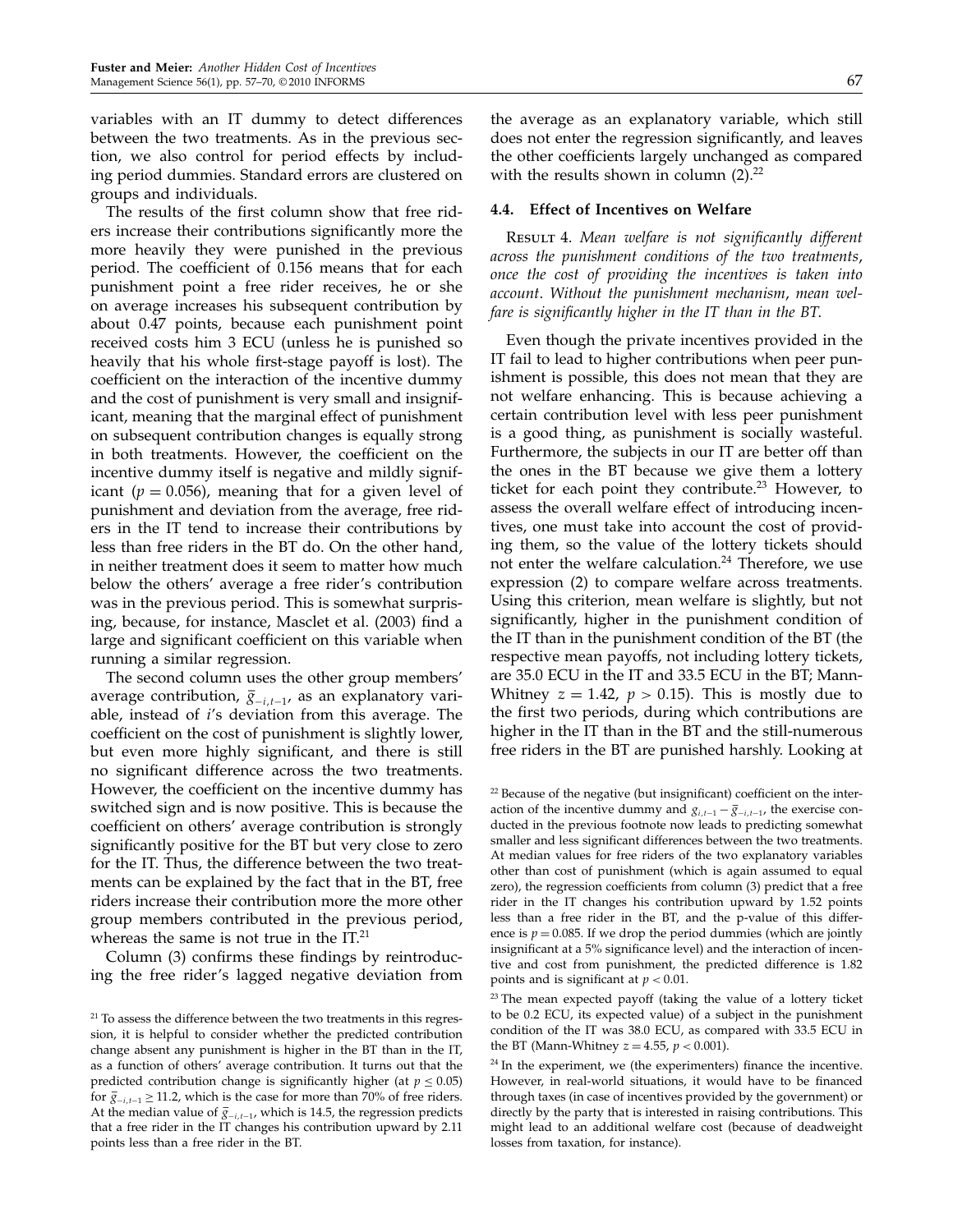variables with an IT dummy to detect differences between the two treatments. As in the previous section, we also control for period effects by including period dummies. Standard errors are clustered on groups and individuals.

The results of the first column show that free riders increase their contributions significantly more the more heavily they were punished in the previous period. The coefficient of 0.156 means that for each punishment point a free rider receives, he or she on average increases his subsequent contribution by about 0.47 points, because each punishment point received costs him 3 ECU (unless he is punished so heavily that his whole first-stage payoff is lost). The coefficient on the interaction of the incentive dummy and the cost of punishment is very small and insignificant, meaning that the marginal effect of punishment on subsequent contribution changes is equally strong in both treatments. However, the coefficient on the incentive dummy itself is negative and mildly significant ( $p = 0.056$ ), meaning that for a given level of punishment and deviation from the average, free riders in the IT tend to increase their contributions by less than free riders in the BT do. On the other hand, in neither treatment does it seem to matter how much below the others' average a free rider's contribution was in the previous period. This is somewhat surprising, because, for instance, Masclet et al. (2003) find a large and significant coefficient on this variable when running a similar regression.

The second column uses the other group members' average contribution,  $\bar{g}_{-i,t-1}$ , as an explanatory variable, instead of  $i$ 's deviation from this average. The coefficient on the cost of punishment is slightly lower, but even more highly significant, and there is still no significant difference across the two treatments. However, the coefficient on the incentive dummy has switched sign and is now positive. This is because the coefficient on others' average contribution is strongly significantly positive for the BT but very close to zero for the IT. Thus, the difference between the two treatments can be explained by the fact that in the BT, free riders increase their contribution more the more other group members contributed in the previous period, whereas the same is not true in the  $IT.^{21}$ 

Column (3) confirms these findings by reintroducing the free rider's lagged negative deviation from

the average as an explanatory variable, which still does not enter the regression significantly, and leaves the other coefficients largely unchanged as compared with the results shown in column  $(2)^{22}$ 

#### 4.4. Effect of Incentives on Welfare

RESULT 4. Mean welfare is not significantly different across the punishment conditions of the two treatments, once the cost of providing the incentives is taken into account. Without the punishment mechanism, mean welfare is significantly higher in the IT than in the BT.

Even though the private incentives provided in the IT fail to lead to higher contributions when peer punishment is possible, this does not mean that they are not welfare enhancing. This is because achieving a certain contribution level with less peer punishment is a good thing, as punishment is socially wasteful. Furthermore, the subjects in our IT are better off than the ones in the BT because we give them a lottery ticket for each point they contribute.<sup>23</sup> However, to assess the overall welfare effect of introducing incentives, one must take into account the cost of providing them, so the value of the lottery tickets should not enter the welfare calculation.<sup>24</sup> Therefore, we use expression (2) to compare welfare across treatments. Using this criterion, mean welfare is slightly, but not significantly, higher in the punishment condition of the IT than in the punishment condition of the BT (the respective mean payoffs, not including lottery tickets, are 35.0 ECU in the IT and 33.5 ECU in the BT; Mann-Whitney  $z = 1.42$ ,  $p > 0.15$ ). This is mostly due to the first two periods, during which contributions are higher in the IT than in the BT and the still-numerous free riders in the BT are punished harshly. Looking at

<sup>22</sup> Because of the negative (but insignificant) coefficient on the interaction of the incentive dummy and  $g_{i,t-1} - \overline{g}_{-i,t-1}$ , the exercise conducted in the previous footnote now leads to predicting somewhat smaller and less significant differences between the two treatments. At median values for free riders of the two explanatory variables other than cost of punishment (which is again assumed to equal zero), the regression coefficients from column (3) predict that a free rider in the IT changes his contribution upward by 1.52 points less than a free rider in the BT, and the p-value of this difference is  $p = 0.085$ . If we drop the period dummies (which are jointly insignificant at a 5% significance level) and the interaction of incentive and cost from punishment, the predicted difference is 1.82 points and is significant at  $p < 0.01$ .

<sup>23</sup> The mean expected payoff (taking the value of a lottery ticket to be 0.2 ECU, its expected value) of a subject in the punishment condition of the IT was 38.0 ECU, as compared with 33.5 ECU in the BT (Mann-Whitney  $z = 4.55$ ,  $p < 0.001$ ).

<sup>24</sup> In the experiment, we (the experimenters) finance the incentive. However, in real-world situations, it would have to be financed through taxes (in case of incentives provided by the government) or directly by the party that is interested in raising contributions. This might lead to an additional welfare cost (because of deadweight losses from taxation, for instance).

 $21$  To assess the difference between the two treatments in this regression, it is helpful to consider whether the predicted contribution change absent any punishment is higher in the BT than in the IT, as a function of others' average contribution. It turns out that the predicted contribution change is significantly higher (at  $p \le 0.05$ ) for  $\overline{g}_{-i,t-1} \ge 11.2$ , which is the case for more than 70% of free riders. At the median value of  $\bar{g}_{-i,t-1}$ , which is 14.5, the regression predicts that a free rider in the IT changes his contribution upward by 2.11 points less than a free rider in the BT.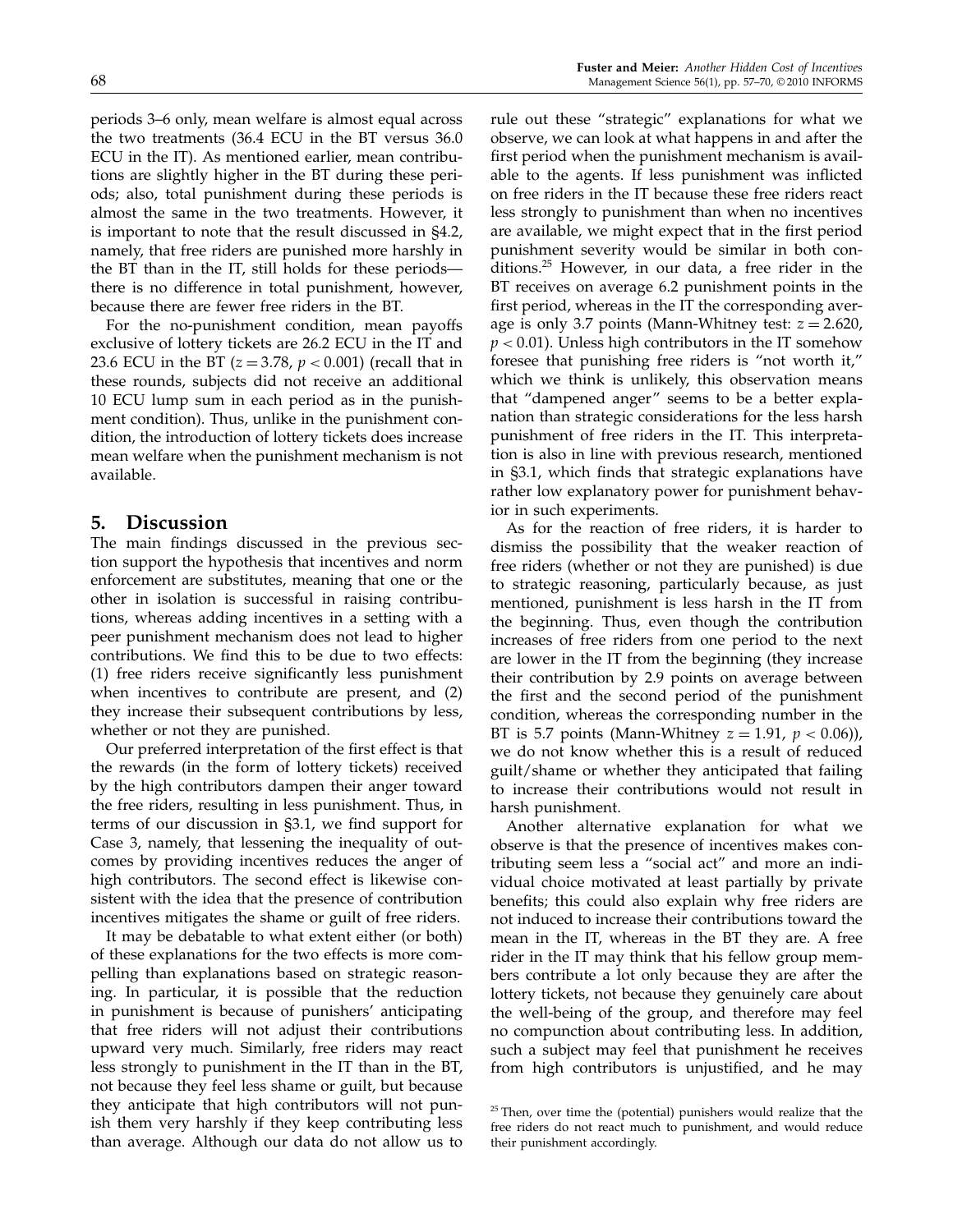periods 3–6 only, mean welfare is almost equal across the two treatments (36.4 ECU in the BT versus 36.0 ECU in the IT). As mentioned earlier, mean contributions are slightly higher in the BT during these periods; also, total punishment during these periods is almost the same in the two treatments. However, it is important to note that the result discussed in §4.2, namely, that free riders are punished more harshly in the BT than in the IT, still holds for these periods there is no difference in total punishment, however, because there are fewer free riders in the BT.

For the no-punishment condition, mean payoffs exclusive of lottery tickets are 26.2 ECU in the IT and 23.6 ECU in the BT ( $z = 3.78$ ,  $p < 0.001$ ) (recall that in these rounds, subjects did not receive an additional 10 ECU lump sum in each period as in the punishment condition). Thus, unlike in the punishment condition, the introduction of lottery tickets does increase mean welfare when the punishment mechanism is not available.

## 5. Discussion

The main findings discussed in the previous section support the hypothesis that incentives and norm enforcement are substitutes, meaning that one or the other in isolation is successful in raising contributions, whereas adding incentives in a setting with a peer punishment mechanism does not lead to higher contributions. We find this to be due to two effects: (1) free riders receive significantly less punishment when incentives to contribute are present, and (2) they increase their subsequent contributions by less, whether or not they are punished.

Our preferred interpretation of the first effect is that the rewards (in the form of lottery tickets) received by the high contributors dampen their anger toward the free riders, resulting in less punishment. Thus, in terms of our discussion in §3.1, we find support for Case 3, namely, that lessening the inequality of outcomes by providing incentives reduces the anger of high contributors. The second effect is likewise consistent with the idea that the presence of contribution incentives mitigates the shame or guilt of free riders.

It may be debatable to what extent either (or both) of these explanations for the two effects is more compelling than explanations based on strategic reasoning. In particular, it is possible that the reduction in punishment is because of punishers' anticipating that free riders will not adjust their contributions upward very much. Similarly, free riders may react less strongly to punishment in the IT than in the BT, not because they feel less shame or guilt, but because they anticipate that high contributors will not punish them very harshly if they keep contributing less than average. Although our data do not allow us to

rule out these "strategic" explanations for what we observe, we can look at what happens in and after the first period when the punishment mechanism is available to the agents. If less punishment was inflicted on free riders in the IT because these free riders react less strongly to punishment than when no incentives are available, we might expect that in the first period punishment severity would be similar in both conditions.<sup>25</sup> However, in our data, a free rider in the BT receives on average 6.2 punishment points in the first period, whereas in the IT the corresponding average is only 3.7 points (Mann-Whitney test:  $z = 2.620$ ,  $p < 0.01$ ). Unless high contributors in the IT somehow foresee that punishing free riders is "not worth it," which we think is unlikely, this observation means that "dampened anger" seems to be a better explanation than strategic considerations for the less harsh punishment of free riders in the IT. This interpretation is also in line with previous research, mentioned in §3.1, which finds that strategic explanations have rather low explanatory power for punishment behavior in such experiments.

As for the reaction of free riders, it is harder to dismiss the possibility that the weaker reaction of free riders (whether or not they are punished) is due to strategic reasoning, particularly because, as just mentioned, punishment is less harsh in the IT from the beginning. Thus, even though the contribution increases of free riders from one period to the next are lower in the IT from the beginning (they increase their contribution by 2.9 points on average between the first and the second period of the punishment condition, whereas the corresponding number in the BT is 5.7 points (Mann-Whitney  $z = 1.91$ ,  $p < 0.06$ )), we do not know whether this is a result of reduced guilt/shame or whether they anticipated that failing to increase their contributions would not result in harsh punishment.

Another alternative explanation for what we observe is that the presence of incentives makes contributing seem less a "social act" and more an individual choice motivated at least partially by private benefits; this could also explain why free riders are not induced to increase their contributions toward the mean in the IT, whereas in the BT they are. A free rider in the IT may think that his fellow group members contribute a lot only because they are after the lottery tickets, not because they genuinely care about the well-being of the group, and therefore may feel no compunction about contributing less. In addition, such a subject may feel that punishment he receives from high contributors is unjustified, and he may

 $25$  Then, over time the (potential) punishers would realize that the free riders do not react much to punishment, and would reduce their punishment accordingly.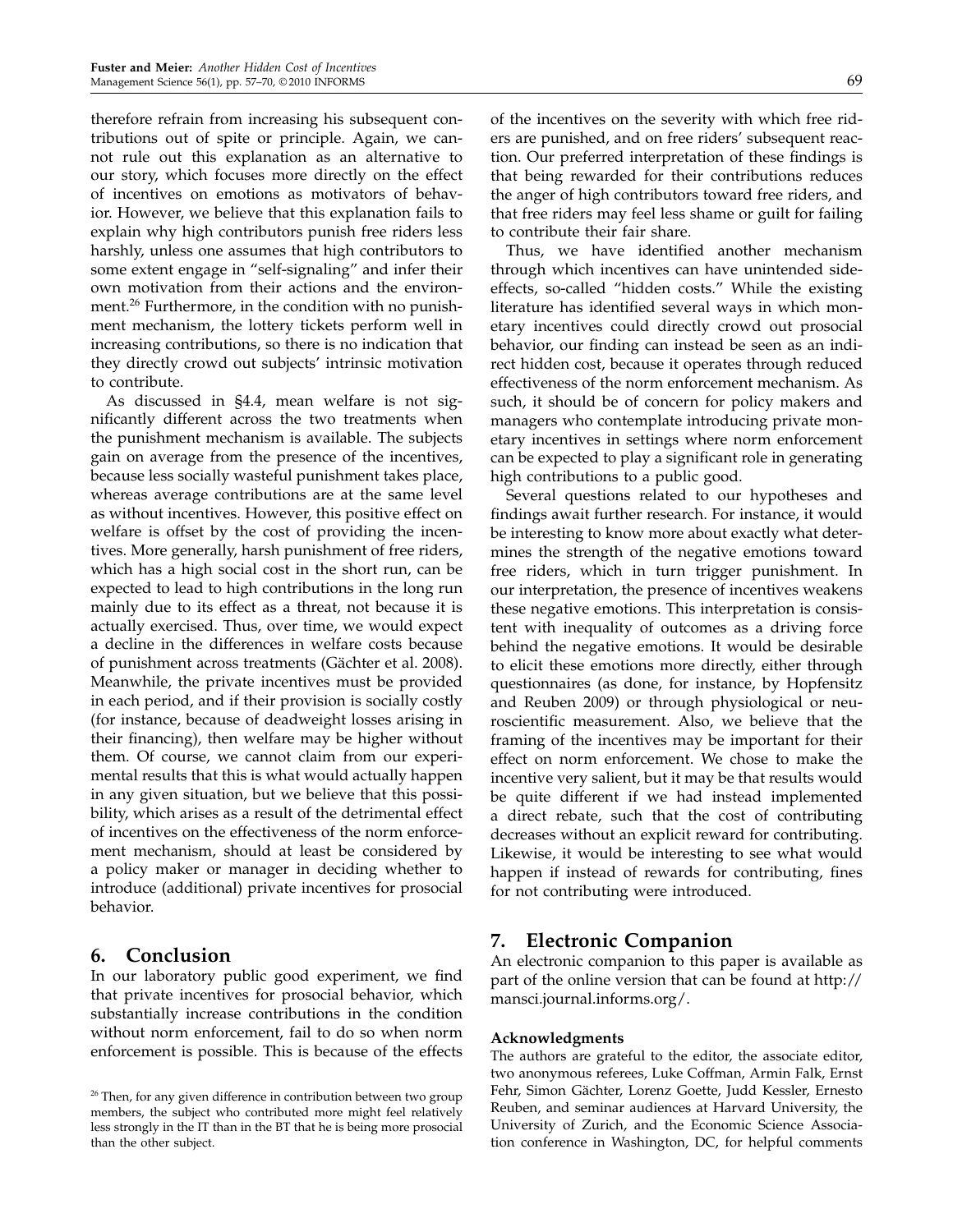therefore refrain from increasing his subsequent contributions out of spite or principle. Again, we cannot rule out this explanation as an alternative to our story, which focuses more directly on the effect of incentives on emotions as motivators of behavior. However, we believe that this explanation fails to explain why high contributors punish free riders less harshly, unless one assumes that high contributors to some extent engage in "self-signaling" and infer their own motivation from their actions and the environment.<sup>26</sup> Furthermore, in the condition with no punishment mechanism, the lottery tickets perform well in increasing contributions, so there is no indication that they directly crowd out subjects' intrinsic motivation to contribute.

As discussed in §4.4, mean welfare is not significantly different across the two treatments when the punishment mechanism is available. The subjects gain on average from the presence of the incentives, because less socially wasteful punishment takes place, whereas average contributions are at the same level as without incentives. However, this positive effect on welfare is offset by the cost of providing the incentives. More generally, harsh punishment of free riders, which has a high social cost in the short run, can be expected to lead to high contributions in the long run mainly due to its effect as a threat, not because it is actually exercised. Thus, over time, we would expect a decline in the differences in welfare costs because of punishment across treatments (Gächter et al. 2008). Meanwhile, the private incentives must be provided in each period, and if their provision is socially costly (for instance, because of deadweight losses arising in their financing), then welfare may be higher without them. Of course, we cannot claim from our experimental results that this is what would actually happen in any given situation, but we believe that this possibility, which arises as a result of the detrimental effect of incentives on the effectiveness of the norm enforcement mechanism, should at least be considered by a policy maker or manager in deciding whether to introduce (additional) private incentives for prosocial behavior.

# 6. Conclusion

In our laboratory public good experiment, we find that private incentives for prosocial behavior, which substantially increase contributions in the condition without norm enforcement, fail to do so when norm enforcement is possible. This is because of the effects of the incentives on the severity with which free riders are punished, and on free riders' subsequent reaction. Our preferred interpretation of these findings is that being rewarded for their contributions reduces the anger of high contributors toward free riders, and that free riders may feel less shame or guilt for failing to contribute their fair share.

Thus, we have identified another mechanism through which incentives can have unintended sideeffects, so-called "hidden costs." While the existing literature has identified several ways in which monetary incentives could directly crowd out prosocial behavior, our finding can instead be seen as an indirect hidden cost, because it operates through reduced effectiveness of the norm enforcement mechanism. As such, it should be of concern for policy makers and managers who contemplate introducing private monetary incentives in settings where norm enforcement can be expected to play a significant role in generating high contributions to a public good.

Several questions related to our hypotheses and findings await further research. For instance, it would be interesting to know more about exactly what determines the strength of the negative emotions toward free riders, which in turn trigger punishment. In our interpretation, the presence of incentives weakens these negative emotions. This interpretation is consistent with inequality of outcomes as a driving force behind the negative emotions. It would be desirable to elicit these emotions more directly, either through questionnaires (as done, for instance, by Hopfensitz and Reuben 2009) or through physiological or neuroscientific measurement. Also, we believe that the framing of the incentives may be important for their effect on norm enforcement. We chose to make the incentive very salient, but it may be that results would be quite different if we had instead implemented a direct rebate, such that the cost of contributing decreases without an explicit reward for contributing. Likewise, it would be interesting to see what would happen if instead of rewards for contributing, fines for not contributing were introduced.

# 7. Electronic Companion

An electronic companion to this paper is available as part of the online version that can be found at http:// mansci.journal.informs.org/.

## Acknowledgments

The authors are grateful to the editor, the associate editor, two anonymous referees, Luke Coffman, Armin Falk, Ernst Fehr, Simon Gächter, Lorenz Goette, Judd Kessler, Ernesto Reuben, and seminar audiences at Harvard University, the University of Zurich, and the Economic Science Association conference in Washington, DC, for helpful comments

 $26$  Then, for any given difference in contribution between two group members, the subject who contributed more might feel relatively less strongly in the IT than in the BT that he is being more prosocial than the other subject.